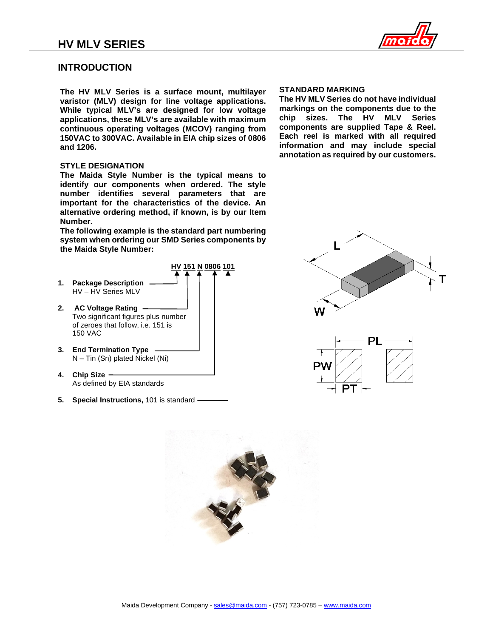

# **INTRODUCTION**

**The HV MLV Series is a surface mount, multilayer varistor (MLV) design for line voltage applications. While typical MLV's are designed for low voltage applications, these MLV's are available with maximum continuous operating voltages (MCOV) ranging from 150VAC to 300VAC. Available in EIA chip sizes of 0806 and 1206.** 

#### **STYLE DESIGNATION**

**The Maida Style Number is the typical means to identify our components when ordered. The style number identifies several parameters that are important for the characteristics of the device. An alternative ordering method, if known, is by our Item Number.**

**The following example is the standard part numbering system when ordering our SMD Series components by the Maida Style Number:**

- **HV 151 N 0806 101 1. Package Description** HV – HV Series MLV
- **2. AC Voltage Rating** Two significant figures plus number of zeroes that follow, i.e. 151 is 150 VAC
- **3. End Termination Type** N – Tin (Sn) plated Nickel (Ni)
- **4. Chip Size** As defined by EIA standards
- **5. Special Instructions,** 101 is standard

#### **STANDARD MARKING**

**The HV MLV Series do not have individual markings on the components due to the chip sizes. The HV MLV Series components are supplied Tape & Reel. Each reel is marked with all required information and may include special annotation as required by our customers.**





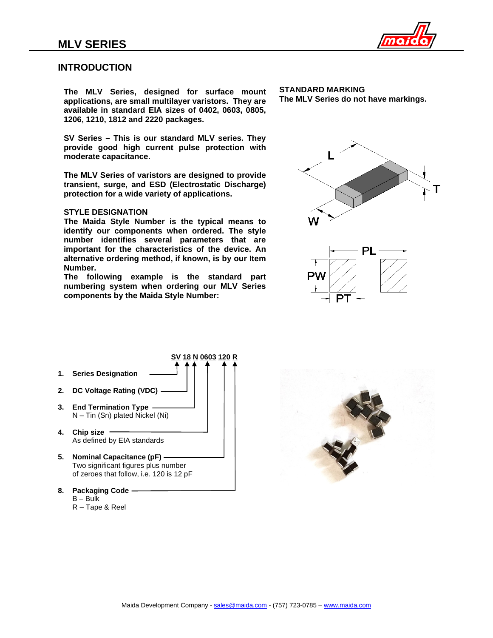

## **INTRODUCTION**

**The MLV Series, designed for surface mount applications, are small multilayer varistors. They are available in standard EIA sizes of 0402, 0603, 0805, 1206, 1210, 1812 and 2220 packages.** 

**SV Series – This is our standard MLV series. They provide good high current pulse protection with moderate capacitance.**

**The MLV Series of varistors are designed to provide transient, surge, and ESD (Electrostatic Discharge) protection for a wide variety of applications.** 

#### **STYLE DESIGNATION**

**The Maida Style Number is the typical means to identify our components when ordered. The style number identifies several parameters that are important for the characteristics of the device. An alternative ordering method, if known, is by our Item Number.**

**The following example is the standard part numbering system when ordering our MLV Series components by the Maida Style Number:**

**STANDARD MARKING The MLV Series do not have markings.** 



- **SV 18 N 0603 120 R 1. Series Designation 2. DC Voltage Rating (VDC) 3. End Termination Type** N – Tin (Sn) plated Nickel (Ni) **4. Chip size** As defined by EIA standards
- **5. Nominal Capacitance (pF)** Two significant figures plus number of zeroes that follow, i.e. 120 is 12 pF
- **8. Packaging Code** B – Bulk
	- R Tape & Reel

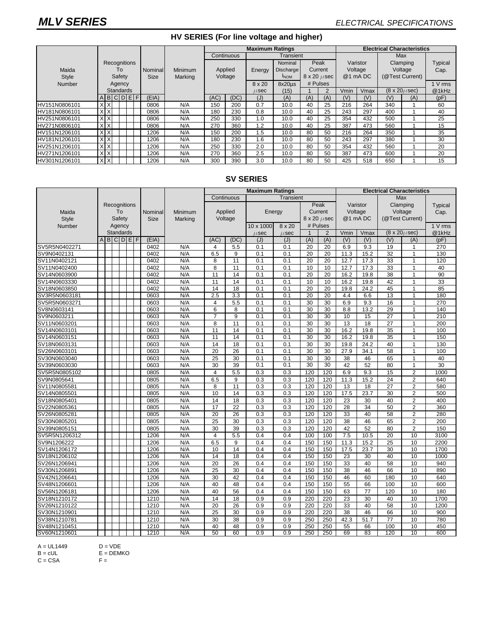### **HV SERIES (For line voltage and higher)**

|               |                  |  |  |  |             |                |                               | <b>Maximum Ratings</b> |           |                  |                                    |               |                     | <b>Electrical Characteristics</b> |                 |                          |       |         |
|---------------|------------------|--|--|--|-------------|----------------|-------------------------------|------------------------|-----------|------------------|------------------------------------|---------------|---------------------|-----------------------------------|-----------------|--------------------------|-------|---------|
|               | Recognitions     |  |  |  |             |                | Continuous                    |                        | Transient |                  |                                    |               |                     |                                   | Max             |                          |       |         |
|               |                  |  |  |  |             |                |                               |                        | Nominal   | Peak             |                                    | Varistor      |                     | Clamping                          |                 | <b>Typical</b>           |       |         |
| Maida         | To               |  |  |  | Nominal     | <b>Minimum</b> | Applied<br>Voltage<br>Marking |                        | Energy    | <b>Discharge</b> | Current<br>$8 \times 20 \ \mu sec$ |               | Voltage<br>@1 mA DC |                                   | Voltage         |                          | Cap.  |         |
| Style         | Safety           |  |  |  | <b>Size</b> |                |                               |                        |           | <b>INOM</b>      |                                    |               |                     |                                   | (@Test Current) |                          |       |         |
| Number        | Agency           |  |  |  |             |                |                               |                        |           | 8 x 20           | $8x20\mu s$                        | # Pulses      |                     |                                   |                 |                          |       | 1 V rms |
|               | <b>Standards</b> |  |  |  |             |                |                               |                        | $\mu$ sec | (15)             |                                    | $\mathcal{P}$ | Vmin                | Vmax                              |                 | $(8 \times 20 \mu \sec)$ | @1kHz |         |
|               | ABCDEF           |  |  |  |             | (EIA)          |                               | (AC)                   | (DC)      | (J)              | (A)                                | (A)           | (A)                 | (V)                               | (V)             | (V)                      | (A)   | (pF)    |
| HV151N0806101 | XX               |  |  |  |             | 0806           | N/A                           | 150                    | 200       | 0.7              | 10.0                               | 40            | 25                  | 216                               | 264             | 340                      |       | 60      |
| HV181N0806101 | <b>XX</b>        |  |  |  |             | 0806           | N/A                           | 180                    | 230       | 0.8              | 10.0                               | 40            | 25                  | 243                               | 297             | 400                      |       | 40      |
| HV251N0806101 | $X$ $X$          |  |  |  |             | 0806           | N/A                           | 250                    | 330       | 1.0              | 10.0                               | 40            | 25                  | 354                               | 432             | 500                      |       | 25      |
| HV271N0806101 | XX               |  |  |  |             | 0806           | N/A                           | 270                    | 360       | 1.2              | 10.0                               | 40            | 25                  | 387                               | 473             | 560                      |       | 15      |
| HV151N1206101 | XX               |  |  |  |             | 1206           | N/A                           | 150                    | 200       | $1.5\,$          | 10.0                               | 80            | 50                  | 216                               | 264             | 350                      |       | 35      |
| HV181N1206101 | $X$ $X$          |  |  |  |             | 1206           | N/A                           | 180                    | 230       | 1.6              | 10.0                               | 80            | 50                  | 243                               | 297             | 380                      |       | 30      |
| HV251N1206101 | <b>XX</b>        |  |  |  |             | 1206           | N/A                           | 250                    | 330       | 2.0              | 10.0                               | 80            | 50                  | 354                               | 432             | 560                      |       | 20      |
| HV271N1206101 | XX               |  |  |  |             | 1206           | N/A                           | 270                    | 360       | 2.5              | 10.0                               | 80            | 50                  | 387                               | 473             | 600                      |       | 20      |
| HV301N1206101 | X X              |  |  |  |             | 1206           | N/A                           | 300                    | 390       | 3.0              | 10.0                               | 80            | 50                  | 425                               | 518             | 650                      |       | 15      |

## **SV SERIES**

|               |                     |           |  |       |             |              | <b>Maximum Ratings</b> |            |           |           |                         | <b>Electrical Characteristics</b> |          |         |                 |                                |       |
|---------------|---------------------|-----------|--|-------|-------------|--------------|------------------------|------------|-----------|-----------|-------------------------|-----------------------------------|----------|---------|-----------------|--------------------------------|-------|
|               |                     |           |  |       |             |              |                        | Continuous | Transient |           |                         |                                   | Max      |         |                 |                                |       |
|               | <b>Recognitions</b> |           |  |       |             |              |                        | Peak       |           | Varistor  |                         | Clamping                          |          | Typical |                 |                                |       |
| Maida         | To                  |           |  |       | Nominal     | Minimum      | Applied<br>Voltage     |            | Energy    |           | Current                 |                                   | Voltage  |         | Voltage         |                                | Cap.  |
| <b>Style</b>  | Safety              |           |  |       | <b>Size</b> | Marking      |                        |            |           |           | $8 \times 20 \ \mu sec$ |                                   | @1 mA DC |         | (@Test Current) |                                |       |
| Number        | Agency              |           |  |       |             |              |                        |            | 10 x 1000 | 8 x 20    |                         | # Pulses                          |          |         |                 |                                |       |
|               | Standards           |           |  |       |             |              |                        |            | $\mu$ sec | $\mu$ sec | $\mathbf{1}$            | 2                                 | Vmin     | Vmax    |                 | $(8 \times 20 \mu \text{sec})$ | @1kHz |
|               | A                   | B C D E F |  | (EIA) |             | (AC)<br>(DC) |                        | (J)        | (J)       | (A)       | (A)                     | (V)                               | (V)      | (V)     | (A)             | (pF)                           |       |
| SV5R5N0402271 |                     |           |  |       | 0402        | N/A          | 4                      | 5.5        | 0.1       | 0.1       | 20                      | 20                                | 6.9      | 9.3     | 19              | 1                              | 270   |
| SV9N0402131   |                     |           |  |       | 0402        | N/A          | 6.5                    | 9          | 0.1       | 0.1       | 20                      | 20                                | 11.3     | 15.2    | 32              | $\mathbf{1}$                   | 130   |
| SV11N0402121  |                     |           |  |       | 0402        | N/A          | 8                      | 11         | 0.1       | 0.1       | 20                      | $\overline{20}$                   | 12.7     | 17.3    | 33              | $\mathbf{1}$                   | 120   |
| SV11N0402400  |                     |           |  |       | 0402        | N/A          | 8                      | 11         | 0.1       | 0.1       | 10                      | 10                                | 12.7     | 17.3    | 33              | $\mathbf{1}$                   | 40    |
| SV14N0603900  |                     |           |  |       | 0402        | N/A          | 11                     | 14         | 0.1       | 0.1       | 20                      | 20                                | 16.2     | 19.8    | 38              | 1                              | 90    |
| SV14N0603330  |                     |           |  |       | 0402        | N/A          | 11                     | 14         | 0.1       | 0.1       | 10                      | 10                                | 16.2     | 19.8    | 42              | $\mathbf{1}$                   | 33    |
| SV18N0603850  |                     |           |  |       | 0402        | N/A          | 14                     | 18         | 0.1       | 0.1       | 20                      | 20                                | 19.8     | 24.2    | 45              | $\mathbf{1}$                   | 85    |
| SV3R5N0603181 |                     |           |  |       | 0603        | N/A          | 2.5                    | 3.3        | 0.1       | 0.1       | 20                      | 20                                | 4.4      | 6.6     | 13              | 1                              | 180   |
| SV5R5N0603271 |                     |           |  |       | 0603        | N/A          | 4                      | 5.5        | 0.1       | 0.1       | 30                      | 30                                | 6.9      | 9.3     | 16              | $\mathbf{1}$                   | 270   |
| SV8N0603141   |                     |           |  |       | 0603        | N/A          | 6                      | 8          | 0.1       | 0.1       | 30                      | 30                                | 8.8      | 13.2    | 29              | $\mathbf{1}$                   | 140   |
| SV9N0603211   |                     |           |  |       | 0603        | N/A          | $\overline{7}$         | 9          | 0.1       | 0.1       | 30                      | 30                                | 10       | 15      | 27              | -1                             | 210   |
| SV11N0603201  |                     |           |  |       | 0603        | N/A          | 8                      | 11         | 0.1       | 0.1       | $\overline{30}$         | 30                                | 13       | 18      | $\overline{27}$ | 1                              | 200   |
| SV14N0603101  |                     |           |  |       | 0603        | N/A          | 11                     | 14         | 0.1       | 0.1       | 30                      | 30                                | 16.2     | 19.8    | 35              |                                | 100   |
| SV14N0603151  |                     |           |  |       | 0603        | N/A          | 11                     | 14         | 0.1       | 0.1       | 30                      | 30                                | 16.2     | 19.8    | 35              | 1                              | 150   |
| SV18N0603131  |                     |           |  |       | 0603        | N/A          | 14                     | 18         | 0.1       | 0.1       | 30                      | 30                                | 19.8     | 24.2    | 40              | 1                              | 130   |
| SV26N0603101  |                     |           |  |       | 0603        | N/A          | 20                     | 26         | 0.1       | 0.1       | 30                      | 30                                | 27.9     | 34.1    | 58              | $\overline{1}$                 | 100   |
| SV30N0603040  |                     |           |  |       | 0603        | N/A          | 25                     | 30         | 0.1       | 0.1       | 30                      | 30                                | 38       | 46      | 65              | 1                              | 40    |
| SV39N0603030  |                     |           |  |       | 0603        | N/A          | 30                     | 39         | 0.1       | 0.1       | 30                      | 30                                | 42       | 52      | 80              | $\mathbf{1}$                   | 30    |
| SV5R5N0805102 |                     |           |  |       | 0805        | N/A          | 4                      | 5.5        | 0.3       | 0.3       | 120                     | 120                               | 6.9      | 9.3     | 15              | $\overline{2}$                 | 1000  |
| SV9N0805641   |                     |           |  |       | 0805        | N/A          | 6.5                    | 9          | 0.3       | 0.3       | 120                     | 120                               | 11.3     | 15.2    | 24              | $\overline{2}$                 | 640   |
| SV11N0805581  |                     |           |  |       | 0805        | N/A          | 8                      | 11         | 0.3       | 0.3       | 120                     | 120                               | 13       | 18      | 27              | $\overline{2}$                 | 580   |
| SV14N0805501  |                     |           |  |       | 0805        | N/A          | 10                     | 14         | 0.3       | 0.3       | 120                     | 120                               | 17.5     | 23.7    | 30              | $\overline{2}$                 | 500   |
| SV18N0805401  |                     |           |  |       | 0805        | N/A          | 14                     | 18         | 0.3       | 0.3       | 120                     | 120                               | 23       | 30      | 40              | $\overline{2}$                 | 400   |
| SV22N0805361  |                     |           |  |       | 0805        | N/A          | 17                     | 22         | 0.3       | 0.3       | 120                     | 120                               | 28       | 34      | 50              | $\overline{2}$                 | 360   |
| SV26N0805281  |                     |           |  |       | 0805        | N/A          | 20                     | 26         | 0.3       | 0.3       | 120                     | 120                               | 33       | 40      | 58              | $\overline{2}$                 | 280   |
| SV30N0805201  |                     |           |  |       | 0805        | N/A          | 25                     | 30         | 0.3       | 0.3       | 120                     | 120                               | 38       | 46      | 65              | $\overline{2}$                 | 200   |
| SV39N0805151  |                     |           |  |       | 0805        | N/A          | 30                     | 39         | 0.3       | 0.3       | 120                     | 120                               | 42       | 52      | 80              | $\overline{2}$                 | 150   |
| SV5R5N1206312 |                     |           |  |       | 1206        | N/A          | $\overline{4}$         | 5.5        | 0.4       | 0.4       | 100                     | 100                               | 7.5      | 10.5    | 20              | 10                             | 3100  |
| SV9N1206222   |                     |           |  |       | 1206        | N/A          | 6.5                    | 9          | 0.4       | 0.4       | 150                     | 150                               | 11.3     | 15.2    | $\overline{25}$ | 10                             | 2200  |
| SV14N1206172  |                     |           |  |       | 1206        | N/A          | 10                     | 14         | 0.4       | 0.4       | 150                     | 150                               | 17.5     | 23.7    | 30              | 10                             | 1700  |
| SV18N1206102  |                     |           |  |       | 1206        | N/A          | 14                     | 18         | 0.4       | 0.4       | 150                     | 150                               | 23       | 30      | 40              | 10                             | 1000  |
| SV26N1206941  |                     |           |  |       | 1206        | N/A          | 20                     | 26         | 0.4       | 0.4       | 150                     | 150                               | 33       | 40      | 58              | 10                             | 940   |
| SV30N1206891  |                     |           |  |       | 1206        | N/A          | 25                     | 30         | 0.4       | 0.4       | 150                     | 150                               | 38       | 46      | 66              | 10                             | 890   |
| SV42N1206641  |                     |           |  |       | 1206        | N/A          | 30                     | 42         | 0.4       | 0.4       | 150                     | 150                               | 46       | 60      | 180             | 10                             | 640   |
| SV48N1206601  |                     |           |  |       | 1206        | N/A          | 40                     | 48         | 0.4       | 0.4       | 150                     | 150                               | 55       | 66      | 100             | 10                             | 600   |
| SV56N1206181  |                     |           |  |       | 1206        | N/A          | 40                     | 56         | 0.4       | 0.4       | 150                     | 150                               | 63       | 77      | 120             | 10                             | 180   |
| SV18N1210172  |                     |           |  |       | 1210        | N/A          | 14                     | 18         | 0.9       | 0.9       | 220                     | 220                               | 23       | 30      | 40              | 10                             | 1700  |
| SV26N1210122  |                     |           |  |       | 1210        | N/A          | 20                     | 26         | 0.9       | 0.9       | 220                     | 220                               | 33       | 40      | 58              | 10                             | 1200  |
| SV30N1210901  |                     |           |  |       | 1210        | N/A          | $\overline{25}$        | 30         | 0.9       | 0.9       | 220                     | 220                               | 38       | 46      | 66              | 10                             | 900   |
| SV38N1210781  |                     |           |  |       | 1210        | N/A          | 30                     | 38         | 0.9       | 0.9       | 250                     | 250                               | 42.3     | 51.7    | 77              | 10                             | 780   |
| SV48N1210451  |                     |           |  |       | 1210        | N/A          | 40                     | 48         | 0.9       | 0.9       | 250                     | 250                               | 55       | 66      | 100             | 10                             | 450   |
| SV60N1210601  |                     |           |  |       | 1210        | N/A          | 50                     | 60         | 0.9       | 0.9       | 250                     | 250                               | 69       | 83      | 120             | 10                             | 600   |

A = UL1449 D = VDE

 $C = CSA$   $F =$ 

D = VDE<br>E = DEMKO<br>F =